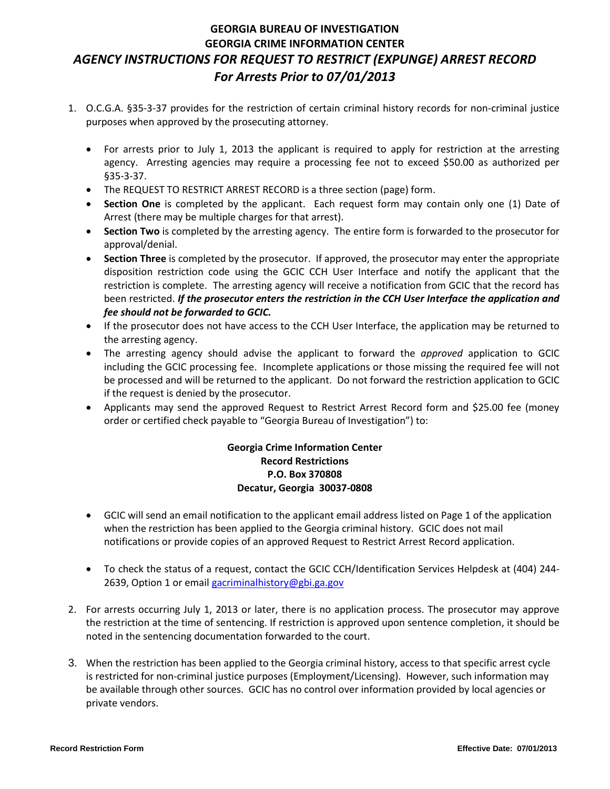### **GEORGIA BUREAU OF INVESTIGATION GEORGIA CRIME INFORMATION CENTER** *AGENCY INSTRUCTIONS FOR REQUEST TO RESTRICT (EXPUNGE) ARREST RECORD For Arrests Prior to 07/01/2013*

- 1. O.C.G.A. §35-3-37 provides for the restriction of certain criminal history records for non-criminal justice purposes when approved by the prosecuting attorney.
	- For arrests prior to July 1, 2013 the applicant is required to apply for restriction at the arresting agency. Arresting agencies may require a processing fee not to exceed \$50.00 as authorized per §35-3-37.
	- The REQUEST TO RESTRICT ARREST RECORD is a three section (page) form.
	- **Section One** is completed by the applicant. Each request form may contain only one (1) Date of Arrest (there may be multiple charges for that arrest).
	- **Section Two** is completed by the arresting agency. The entire form is forwarded to the prosecutor for approval/denial.
	- **Section Three** is completed by the prosecutor. If approved, the prosecutor may enter the appropriate disposition restriction code using the GCIC CCH User Interface and notify the applicant that the restriction is complete. The arresting agency will receive a notification from GCIC that the record has been restricted. *If the prosecutor enters the restriction in the CCH User Interface the application and fee should not be forwarded to GCIC.*
	- If the prosecutor does not have access to the CCH User Interface, the application may be returned to the arresting agency.
	- The arresting agency should advise the applicant to forward the *approved* application to GCIC including the GCIC processing fee. Incomplete applications or those missing the required fee will not be processed and will be returned to the applicant. Do not forward the restriction application to GCIC if the request is denied by the prosecutor.
	- Applicants may send the approved Request to Restrict Arrest Record form and \$25.00 fee (money order or certified check payable to "Georgia Bureau of Investigation") to:

#### **Georgia Crime Information Center Record Restrictions P.O. Box 370808 Decatur, Georgia 30037-0808**

- GCIC will send an email notification to the applicant email address listed on Page 1 of the application when the restriction has been applied to the Georgia criminal history. GCIC does not mail notifications or provide copies of an approved Request to Restrict Arrest Record application.
- To check the status of a request, contact the GCIC CCH/Identification Services Helpdesk at (404) 244- 2639, Option 1 or emai[l gacriminalhistory@gbi.ga.gov](mailto:gacriminalhistory@gbi.ga.gov)
- 2. For arrests occurring July 1, 2013 or later, there is no application process. The prosecutor may approve the restriction at the time of sentencing. If restriction is approved upon sentence completion, it should be noted in the sentencing documentation forwarded to the court.
- 3. When the restriction has been applied to the Georgia criminal history, access to that specific arrest cycle is restricted for non-criminal justice purposes (Employment/Licensing). However, such information may be available through other sources. GCIC has no control over information provided by local agencies or private vendors.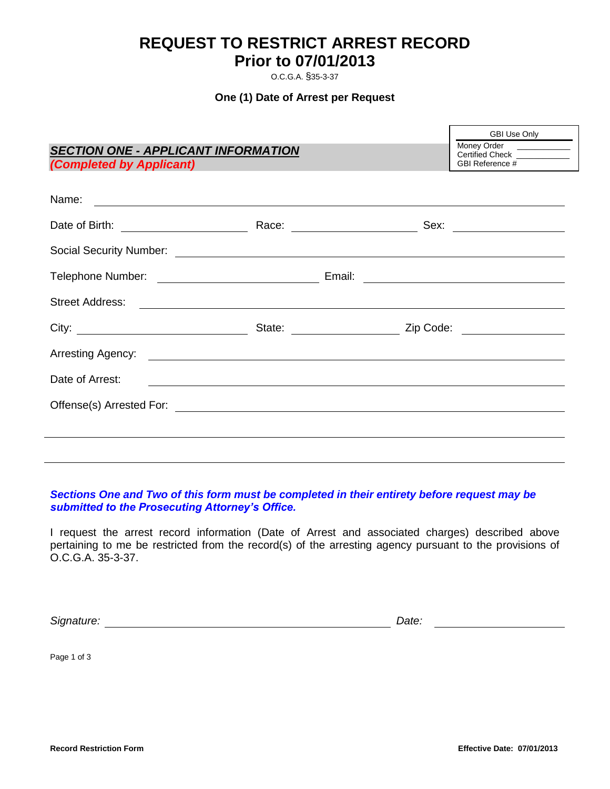## **REQUEST TO RESTRICT ARREST RECORD Prior to 07/01/2013**

O.C.G.A. §35-3-37

#### **One (1) Date of Arrest per Request**

| <b>SECTION ONE - APPLICANT INFORMATION</b>             |  |                                                                                                                                                                                                                                     | GBI Use Only<br>Money Order _____________                    |
|--------------------------------------------------------|--|-------------------------------------------------------------------------------------------------------------------------------------------------------------------------------------------------------------------------------------|--------------------------------------------------------------|
| (Completed by Applicant) <b>Completed</b> by Applicant |  |                                                                                                                                                                                                                                     | Certified Check ____________<br>GBI Reference #_____________ |
|                                                        |  |                                                                                                                                                                                                                                     |                                                              |
|                                                        |  | Race: _________________________                                                                                                                                                                                                     |                                                              |
|                                                        |  |                                                                                                                                                                                                                                     |                                                              |
|                                                        |  |                                                                                                                                                                                                                                     |                                                              |
| <b>Street Address:</b>                                 |  | <u> 1989 - Jan Alexander de Santa Galicia (h. 1989).</u><br>1905 - Johann Barnett, fransk politik (h. 1980).                                                                                                                        |                                                              |
|                                                        |  | State: <u>Contract Clip Code:</u> Clip Code: Clip Code: Clip Code: Clip Code: Clip Code: Clip Code: Clip Code: Clip Code: Clip Code: Clip Code: Clip Code: Clip Code: Clip Code: Clip Code: Clip Code: Clip Code: Clip Code: Clip C |                                                              |
|                                                        |  |                                                                                                                                                                                                                                     |                                                              |
| Date of Arrest:                                        |  |                                                                                                                                                                                                                                     |                                                              |
|                                                        |  |                                                                                                                                                                                                                                     |                                                              |
|                                                        |  |                                                                                                                                                                                                                                     |                                                              |

#### *Sections One and Two of this form must be completed in their entirety before request may be submitted to the Prosecuting Attorney's Office.*

I request the arrest record information (Date of Arrest and associated charges) described above pertaining to me be restricted from the record(s) of the arresting agency pursuant to the provisions of O.C.G.A. 35-3-37.

*Signature: Date:*

Page 1 of 3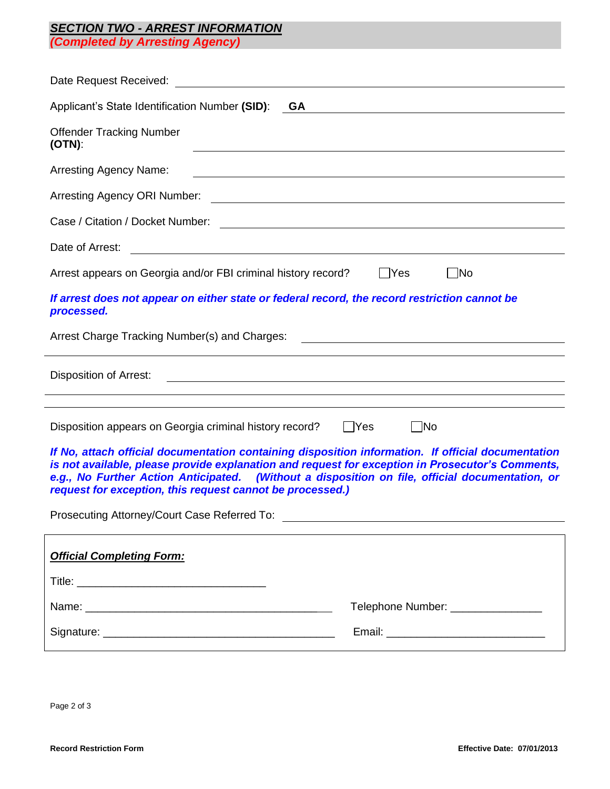# *SECTION TWO - ARREST INFORMATION*

*(Completed by Arresting Agency)*

| Applicant's State Identification Number (SID):<br>GA<br><u> 1989 - Johann Barbara, martxa alemaniar amerikan a</u>                                                                                                                                                                                                                                                     |  |  |  |
|------------------------------------------------------------------------------------------------------------------------------------------------------------------------------------------------------------------------------------------------------------------------------------------------------------------------------------------------------------------------|--|--|--|
| <b>Offender Tracking Number</b><br>$(OTN)$ :                                                                                                                                                                                                                                                                                                                           |  |  |  |
| <b>Arresting Agency Name:</b><br><u> 1980 - Johann Barn, fransk politik (f. 1980)</u>                                                                                                                                                                                                                                                                                  |  |  |  |
| Arresting Agency ORI Number:<br><u> Alexandria de la contrada de la contrada de la contrada de la contrada de la contrada de la contrada de la c</u>                                                                                                                                                                                                                   |  |  |  |
|                                                                                                                                                                                                                                                                                                                                                                        |  |  |  |
| Date of Arrest:<br><u> 1980 - Johann Barn, mars ann an t-Amhain Aonaich an t-Aonaich an t-Aonaich ann an t-Aonaich ann an t-Aonaich</u>                                                                                                                                                                                                                                |  |  |  |
| Arrest appears on Georgia and/or FBI criminal history record?<br> No<br>   Yes                                                                                                                                                                                                                                                                                         |  |  |  |
| If arrest does not appear on either state or federal record, the record restriction cannot be<br>processed.                                                                                                                                                                                                                                                            |  |  |  |
| Arrest Charge Tracking Number(s) and Charges:                                                                                                                                                                                                                                                                                                                          |  |  |  |
| <b>Disposition of Arrest:</b><br><u> 1989 - Andrea Santa Alemania, amerikana amerikana amerikana amerikana amerikana amerikana amerikana amerikan</u>                                                                                                                                                                                                                  |  |  |  |
| $\neg$ No<br>Disposition appears on Georgia criminal history record?<br>$ $ Yes                                                                                                                                                                                                                                                                                        |  |  |  |
| If No, attach official documentation containing disposition information. If official documentation<br>is not available, please provide explanation and request for exception in Prosecutor's Comments,<br>e.g., No Further Action Anticipated. (Without a disposition on file, official documentation, or<br>request for exception, this request cannot be processed.) |  |  |  |
|                                                                                                                                                                                                                                                                                                                                                                        |  |  |  |
| <b>Official Completing Form:</b>                                                                                                                                                                                                                                                                                                                                       |  |  |  |
|                                                                                                                                                                                                                                                                                                                                                                        |  |  |  |
| Telephone Number: ________________                                                                                                                                                                                                                                                                                                                                     |  |  |  |
|                                                                                                                                                                                                                                                                                                                                                                        |  |  |  |
|                                                                                                                                                                                                                                                                                                                                                                        |  |  |  |

Page 2 of 3